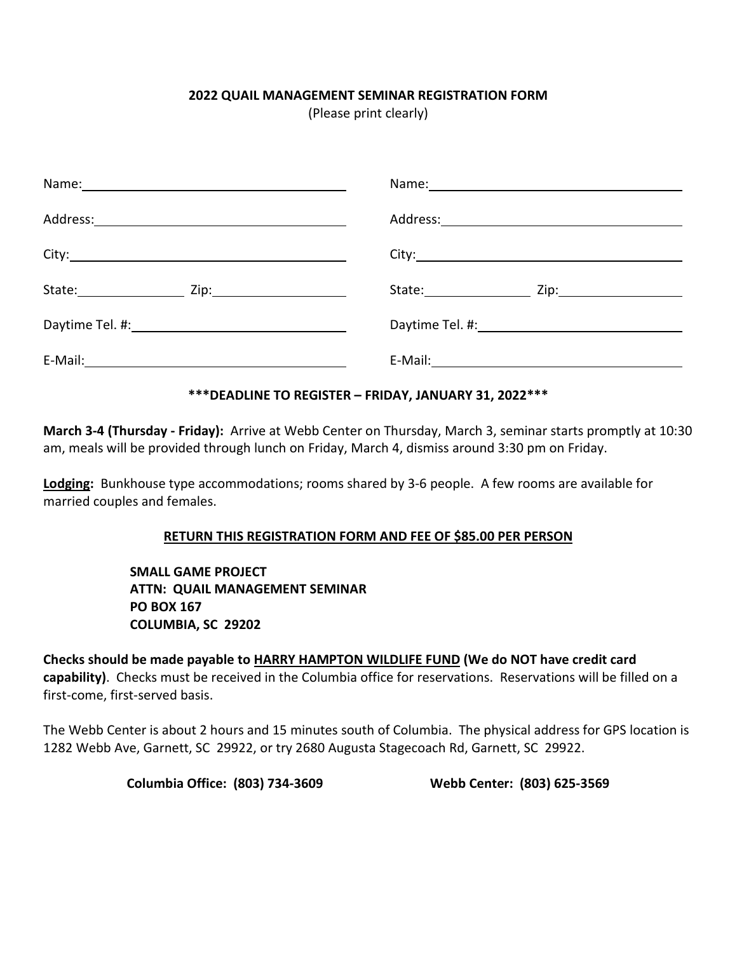## **2022 QUAIL MANAGEMENT SEMINAR REGISTRATION FORM**

(Please print clearly)

| State: 7.10 2ip: 7.10 2ip: |  |
|----------------------------|--|
|                            |  |
|                            |  |

## **\*\*\*DEADLINE TO REGISTER – FRIDAY, JANUARY 31, 2022\*\*\***

**March 3-4 (Thursday - Friday):** Arrive at Webb Center on Thursday, March 3, seminar starts promptly at 10:30 am, meals will be provided through lunch on Friday, March 4, dismiss around 3:30 pm on Friday.

**Lodging:** Bunkhouse type accommodations; rooms shared by 3-6 people. A few rooms are available for married couples and females.

## **RETURN THIS REGISTRATION FORM AND FEE OF \$85.00 PER PERSON**

 **SMALL GAME PROJECT ATTN: QUAIL MANAGEMENT SEMINAR PO BOX 167 COLUMBIA, SC 29202**

**Checks should be made payable to HARRY HAMPTON WILDLIFE FUND (We do NOT have credit card capability)**. Checks must be received in the Columbia office for reservations. Reservations will be filled on a first-come, first-served basis.

The Webb Center is about 2 hours and 15 minutes south of Columbia. The physical address for GPS location is 1282 Webb Ave, Garnett, SC 29922, or try 2680 Augusta Stagecoach Rd, Garnett, SC 29922.

**Columbia Office: (803) 734-3609 Webb Center: (803) 625-3569**